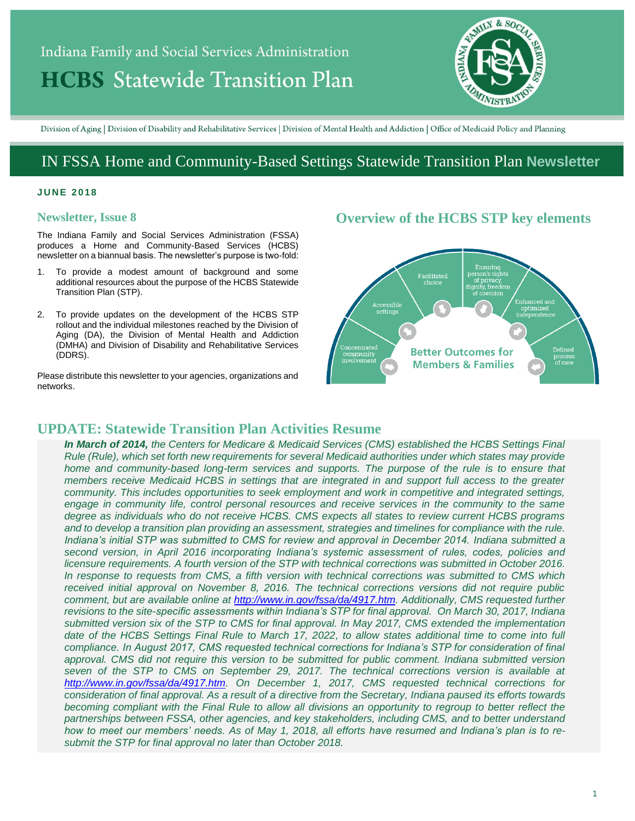# Indiana Family and Social Services Administration **HCBS** Statewide Transition Plan



Division of Aging | Division of Disability and Rehabilitative Services | Division of Mental Health and Addiction | Office of Medicaid Policy and Planning

## IN FSSA Home and Community-Based Settings Statewide Transition Plan **Newsletter**

#### **J U N E 20 1 8**

#### **Newsletter, Issue 8**

The Indiana Family and Social Services Administration (FSSA) produces a Home and Community-Based Services (HCBS) newsletter on a biannual basis. The newsletter's purpose is two-fold:

- 1. To provide a modest amount of background and some additional resources about the purpose of the HCBS Statewide Transition Plan (STP).
- 2. To provide updates on the development of the HCBS STP rollout and the individual milestones reached by the Division of Aging (DA), the Division of Mental Health and Addiction (DMHA) and Division of Disability and Rehabilitative Services (DDRS).

Please distribute this newsletter to your agencies, organizations and networks.

## **Overview of the HCBS STP key elements**



## **UPDATE: Statewide Transition Plan Activities Resume**

*In March of 2014, the Centers for Medicare & Medicaid Services (CMS) established the HCBS Settings Final Rule (Rule), which set forth new requirements for several Medicaid authorities under which states may provide home and community-based long-term services and supports. The purpose of the rule is to ensure that members receive Medicaid HCBS in settings that are integrated in and support full access to the greater community. This includes opportunities to seek employment and work in competitive and integrated settings,*  engage in community life, control personal resources and receive services in the community to the same *degree as individuals who do not receive HCBS. CMS expects all states to review current HCBS programs and to develop a transition plan providing an assessment, strategies and timelines for compliance with the rule. Indiana's initial STP was submitted to CMS for review and approval in December 2014. Indiana submitted a second version, in April 2016 incorporating Indiana's systemic assessment of rules, codes, policies and licensure requirements. A fourth version of the STP with technical corrections was submitted in October 2016. In response to requests from CMS, a fifth version with technical corrections was submitted to CMS which received initial approval on November 8, 2016. The technical corrections versions did not require public comment, but are available online at [http://www.in.gov/fssa/da/4917.htm.](http://www.in.gov/fssa/da/4917.htm) Additionally, CMS requested further revisions to the site-specific assessments within Indiana's STP for final approval. On March 30, 2017, Indiana submitted version six of the STP to CMS for final approval. In May 2017, CMS extended the implementation date of the HCBS Settings Final Rule to March 17, 2022, to allow states additional time to come into full compliance. In August 2017, CMS requested technical corrections for Indiana's STP for consideration of final approval. CMS did not require this version to be submitted for public comment. Indiana submitted version seven of the STP to CMS on September 29, 2017. The technical corrections version is available at [http://www.in.gov/fssa/da/4917.htm.](http://www.in.gov/fssa/da/4917.htm) On December 1, 2017, CMS requested technical corrections for consideration of final approval. As a result of a directive from the Secretary, Indiana paused its efforts towards becoming compliant with the Final Rule to allow all divisions an opportunity to regroup to better reflect the partnerships between FSSA, other agencies, and key stakeholders, including CMS, and to better understand how to meet our members' needs. As of May 1, 2018, all efforts have resumed and Indiana's plan is to resubmit the STP for final approval no later than October 2018.*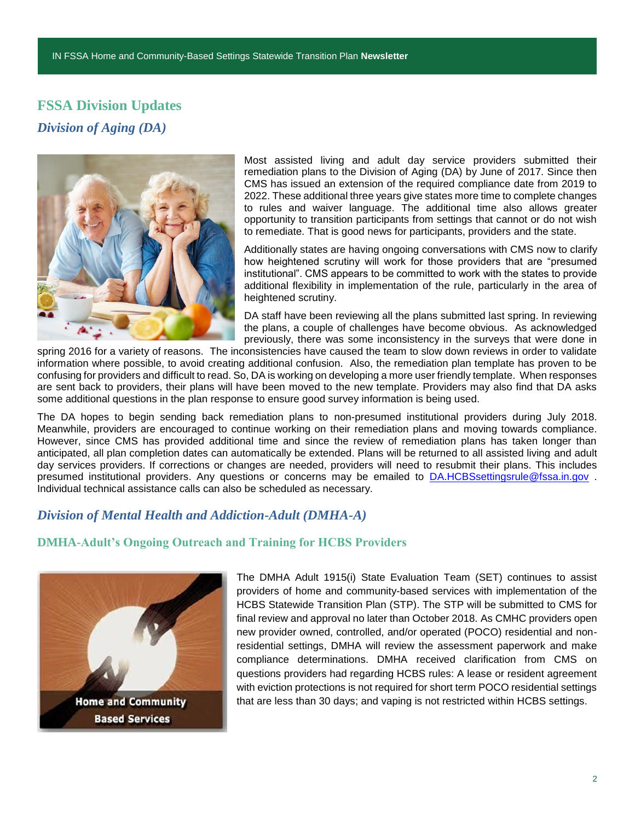## **FSSA Division Updates** *Division of Aging (DA)*



Most assisted living and adult day service providers submitted their remediation plans to the Division of Aging (DA) by June of 2017. Since then CMS has issued an extension of the required compliance date from 2019 to 2022. These additional three years give states more time to complete changes to rules and waiver language. The additional time also allows greater opportunity to transition participants from settings that cannot or do not wish to remediate. That is good news for participants, providers and the state.

Additionally states are having ongoing conversations with CMS now to clarify how heightened scrutiny will work for those providers that are "presumed institutional". CMS appears to be committed to work with the states to provide additional flexibility in implementation of the rule, particularly in the area of heightened scrutiny.

DA staff have been reviewing all the plans submitted last spring. In reviewing the plans, a couple of challenges have become obvious. As acknowledged previously, there was some inconsistency in the surveys that were done in

spring 2016 for a variety of reasons. The inconsistencies have caused the team to slow down reviews in order to validate information where possible, to avoid creating additional confusion. Also, the remediation plan template has proven to be confusing for providers and difficult to read. So, DA is working on developing a more user friendly template. When responses are sent back to providers, their plans will have been moved to the new template. Providers may also find that DA asks some additional questions in the plan response to ensure good survey information is being used.

The DA hopes to begin sending back remediation plans to non-presumed institutional providers during July 2018. Meanwhile, providers are encouraged to continue working on their remediation plans and moving towards compliance. However, since CMS has provided additional time and since the review of remediation plans has taken longer than anticipated, all plan completion dates can automatically be extended. Plans will be returned to all assisted living and adult day services providers. If corrections or changes are needed, providers will need to resubmit their plans. This includes presumed institutional providers. Any questions or concerns may be emailed to [DA.HCBSsettingsrule@fssa.in.gov](mailto:DA.HCBSsettingsrule@fssa.in.gov) . Individual technical assistance calls can also be scheduled as necessary.

## *Division of Mental Health and Addiction-Adult (DMHA-A)*

#### **DMHA-Adult's Ongoing Outreach and Training for HCBS Providers**



The DMHA Adult 1915(i) State Evaluation Team (SET) continues to assist providers of home and community-based services with implementation of the HCBS Statewide Transition Plan (STP). The STP will be submitted to CMS for final review and approval no later than October 2018. As CMHC providers open new provider owned, controlled, and/or operated (POCO) residential and nonresidential settings, DMHA will review the assessment paperwork and make compliance determinations. DMHA received clarification from CMS on questions providers had regarding HCBS rules: A lease or resident agreement with eviction protections is not required for short term POCO residential settings that are less than 30 days; and vaping is not restricted within HCBS settings.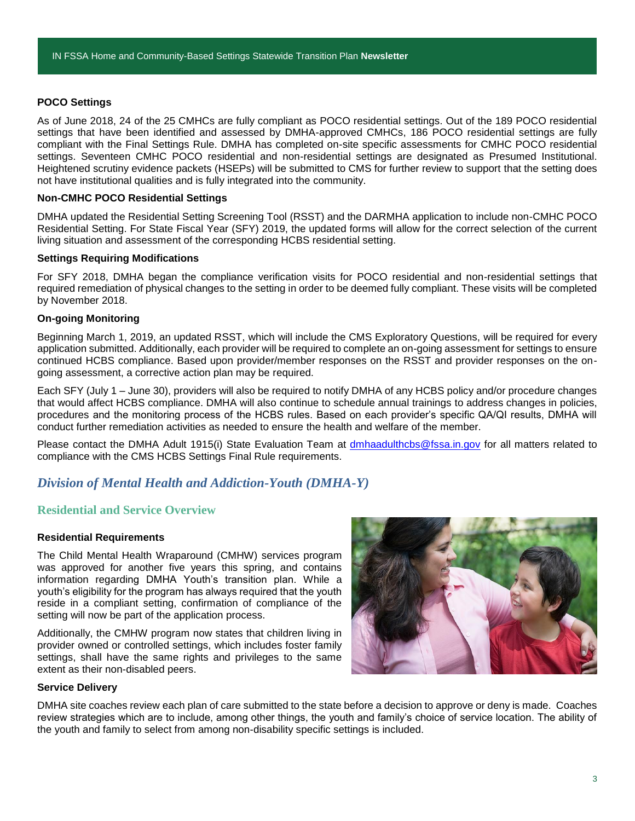#### **POCO Settings**

As of June 2018, 24 of the 25 CMHCs are fully compliant as POCO residential settings. Out of the 189 POCO residential settings that have been identified and assessed by DMHA-approved CMHCs, 186 POCO residential settings are fully compliant with the Final Settings Rule. DMHA has completed on-site specific assessments for CMHC POCO residential settings. Seventeen CMHC POCO residential and non-residential settings are designated as Presumed Institutional. Heightened scrutiny evidence packets (HSEPs) will be submitted to CMS for further review to support that the setting does not have institutional qualities and is fully integrated into the community.

#### **Non-CMHC POCO Residential Settings**

DMHA updated the Residential Setting Screening Tool (RSST) and the DARMHA application to include non-CMHC POCO Residential Setting. For State Fiscal Year (SFY) 2019, the updated forms will allow for the correct selection of the current living situation and assessment of the corresponding HCBS residential setting.

#### **Settings Requiring Modifications**

For SFY 2018, DMHA began the compliance verification visits for POCO residential and non-residential settings that required remediation of physical changes to the setting in order to be deemed fully compliant. These visits will be completed by November 2018.

#### **On-going Monitoring**

Beginning March 1, 2019, an updated RSST, which will include the CMS Exploratory Questions, will be required for every application submitted. Additionally, each provider will be required to complete an on-going assessment for settings to ensure continued HCBS compliance. Based upon provider/member responses on the RSST and provider responses on the ongoing assessment, a corrective action plan may be required.

Each SFY (July 1 – June 30), providers will also be required to notify DMHA of any HCBS policy and/or procedure changes that would affect HCBS compliance. DMHA will also continue to schedule annual trainings to address changes in policies, procedures and the monitoring process of the HCBS rules. Based on each provider's specific QA/QI results, DMHA will conduct further remediation activities as needed to ensure the health and welfare of the member.

Please contact the DMHA Adult 1915(i) State Evaluation Team at [dmhaadulthcbs@fssa.in.gov](mailto:dmhaadulthcbs@fssa.in.gov) for all matters related to compliance with the CMS HCBS Settings Final Rule requirements.

### *Division of Mental Health and Addiction-Youth (DMHA-Y)*

#### **Residential and Service Overview**

#### **Residential Requirements**

The Child Mental Health Wraparound (CMHW) services program was approved for another five years this spring, and contains information regarding DMHA Youth's transition plan. While a youth's eligibility for the program has always required that the youth reside in a compliant setting, confirmation of compliance of the setting will now be part of the application process.

Additionally, the CMHW program now states that children living in provider owned or controlled settings, which includes foster family settings, shall have the same rights and privileges to the same extent as their non-disabled peers.



#### **Service Delivery**

DMHA site coaches review each plan of care submitted to the state before a decision to approve or deny is made. Coaches review strategies which are to include, among other things, the youth and family's choice of service location. The ability of the youth and family to select from among non-disability specific settings is included.